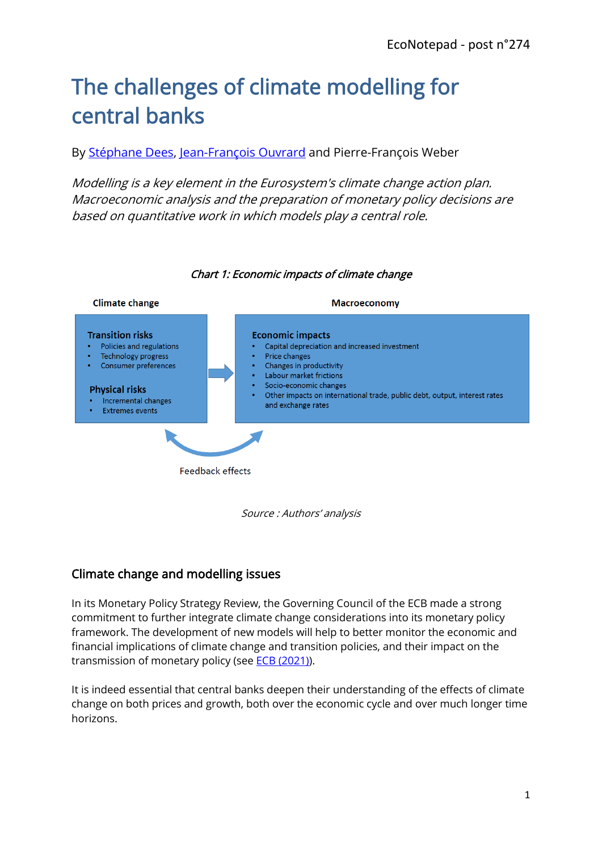# The challenges of climate modelling for central banks

By [Stéphane Dees,](https://www.banque-france.fr/en/stephane-dees) [Jean-François Ouvrard](https://www.banque-france.fr/en/economics/economists-and-researchers/jean-francois-ouvrard) and Pierre-François Weber

Modelling is a key element in the Eurosystem's climate change action plan. Macroeconomic analysis and the preparation of monetary policy decisions are based on quantitative work in which models play a central role.



#### Chart 1: Economic impacts of climate change

Source : Authors' analysis

## Climate change and modelling issues

In its Monetary Policy Strategy Review, the Governing Council of the ECB made a strong commitment to further integrate climate change considerations into its monetary policy framework. The development of new models will help to better monitor the economic and financial implications of climate change and transition policies, and their impact on the transmission of monetary policy (see [ECB \(2021\)\)](https://www.ecb.europa.eu/pub/pdf/scpops/ecb.op271~36775d43c8.en.pdf).

It is indeed essential that central banks deepen their understanding of the effects of climate change on both prices and growth, both over the economic cycle and over much longer time horizons.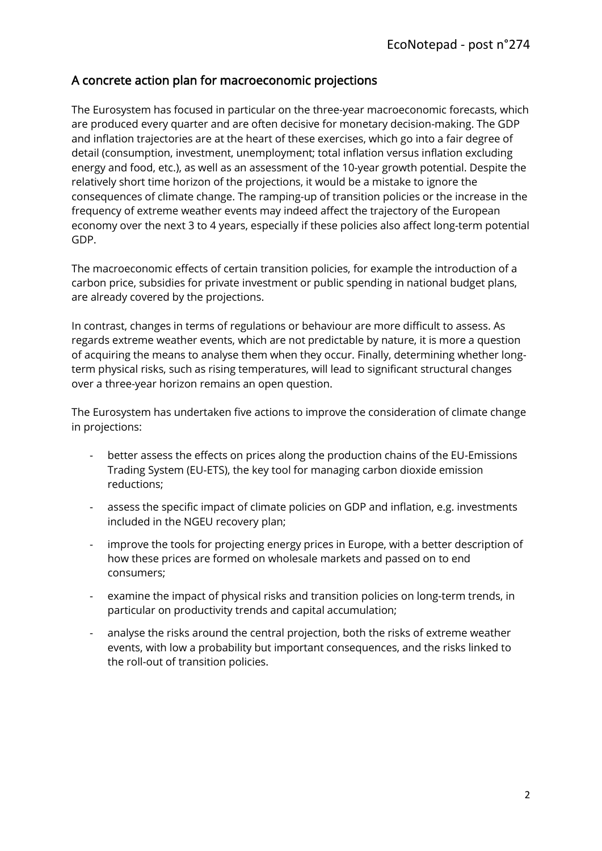### A concrete action plan for macroeconomic projections

The Eurosystem has focused in particular on the three-year macroeconomic forecasts, which are produced every quarter and are often decisive for monetary decision-making. The GDP and inflation trajectories are at the heart of these exercises, which go into a fair degree of detail (consumption, investment, unemployment; total inflation versus inflation excluding energy and food, etc.), as well as an assessment of the 10-year growth potential. Despite the relatively short time horizon of the projections, it would be a mistake to ignore the consequences of climate change. The ramping-up of transition policies or the increase in the frequency of extreme weather events may indeed affect the trajectory of the European economy over the next 3 to 4 years, especially if these policies also affect long-term potential GDP.

The macroeconomic effects of certain transition policies, for example the introduction of a carbon price, subsidies for private investment or public spending in national budget plans, are already covered by the projections.

In contrast, changes in terms of regulations or behaviour are more difficult to assess. As regards extreme weather events, which are not predictable by nature, it is more a question of acquiring the means to analyse them when they occur. Finally, determining whether longterm physical risks, such as rising temperatures, will lead to significant structural changes over a three-year horizon remains an open question.

The Eurosystem has undertaken five actions to improve the consideration of climate change in projections:

- better assess the effects on prices along the production chains of the EU-Emissions Trading System (EU-ETS), the key tool for managing carbon dioxide emission reductions;
- assess the specific impact of climate policies on GDP and inflation, e.g. investments included in the NGEU recovery plan;
- improve the tools for projecting energy prices in Europe, with a better description of how these prices are formed on wholesale markets and passed on to end consumers;
- examine the impact of physical risks and transition policies on long-term trends, in particular on productivity trends and capital accumulation;
- analyse the risks around the central projection, both the risks of extreme weather events, with low a probability but important consequences, and the risks linked to the roll-out of transition policies.